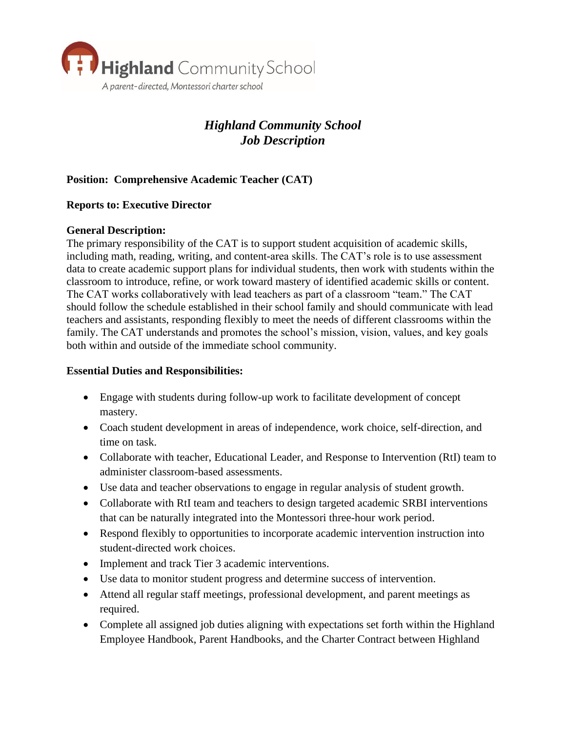

# *Highland Community School Job Description*

# **Position: Comprehensive Academic Teacher (CAT)**

### **Reports to: Executive Director**

#### **General Description:**

The primary responsibility of the CAT is to support student acquisition of academic skills, including math, reading, writing, and content-area skills. The CAT's role is to use assessment data to create academic support plans for individual students, then work with students within the classroom to introduce, refine, or work toward mastery of identified academic skills or content. The CAT works collaboratively with lead teachers as part of a classroom "team." The CAT should follow the schedule established in their school family and should communicate with lead teachers and assistants, responding flexibly to meet the needs of different classrooms within the family. The CAT understands and promotes the school's mission, vision, values, and key goals both within and outside of the immediate school community.

## **Essential Duties and Responsibilities:**

- Engage with students during follow-up work to facilitate development of concept mastery.
- Coach student development in areas of independence, work choice, self-direction, and time on task.
- Collaborate with teacher, Educational Leader, and Response to Intervention (RtI) team to administer classroom-based assessments.
- Use data and teacher observations to engage in regular analysis of student growth.
- Collaborate with RtI team and teachers to design targeted academic SRBI interventions that can be naturally integrated into the Montessori three-hour work period.
- Respond flexibly to opportunities to incorporate academic intervention instruction into student-directed work choices.
- Implement and track Tier 3 academic interventions.
- Use data to monitor student progress and determine success of intervention.
- Attend all regular staff meetings, professional development, and parent meetings as required.
- Complete all assigned job duties aligning with expectations set forth within the Highland Employee Handbook, Parent Handbooks, and the Charter Contract between Highland